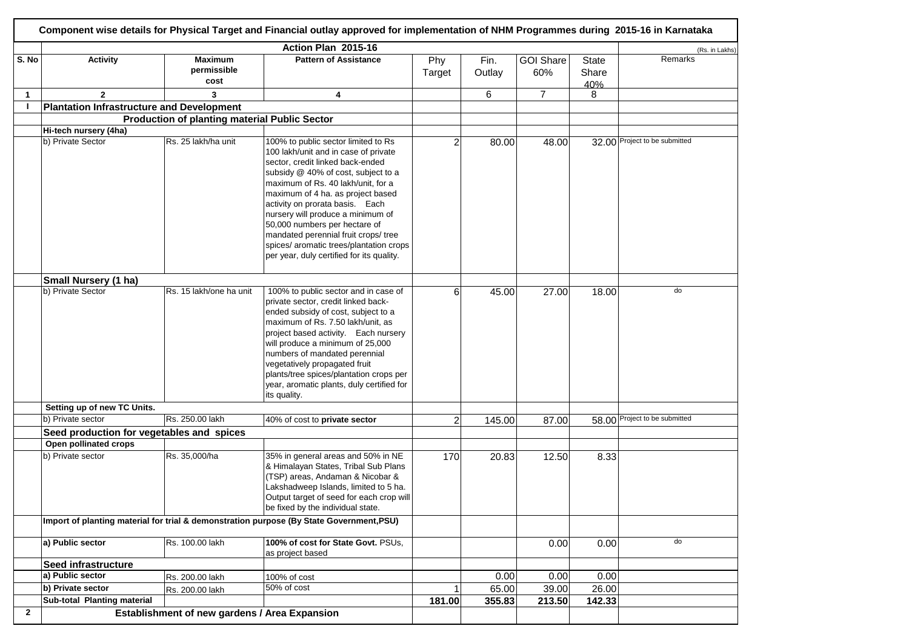|                | Component wise details for Physical Target and Financial outlay approved for implementation of NHM Programmes during 2015-16 in Karnataka |                                                                                          |                                                                                                                                                                                                                                                                                                                                                                                                                                                                            |               |                |                         |                       |                               |  |  |  |
|----------------|-------------------------------------------------------------------------------------------------------------------------------------------|------------------------------------------------------------------------------------------|----------------------------------------------------------------------------------------------------------------------------------------------------------------------------------------------------------------------------------------------------------------------------------------------------------------------------------------------------------------------------------------------------------------------------------------------------------------------------|---------------|----------------|-------------------------|-----------------------|-------------------------------|--|--|--|
|                |                                                                                                                                           |                                                                                          | Action Plan 2015-16                                                                                                                                                                                                                                                                                                                                                                                                                                                        |               |                |                         |                       | (Rs. in Lakhs)                |  |  |  |
| S. No          | <b>Activity</b>                                                                                                                           | <b>Maximum</b><br>permissible<br>cost                                                    | <b>Pattern of Assistance</b>                                                                                                                                                                                                                                                                                                                                                                                                                                               | Phy<br>Target | Fin.<br>Outlay | <b>GOI Share</b><br>60% | State<br>Share<br>40% | Remarks                       |  |  |  |
| $\mathbf{1}$   | $\overline{2}$                                                                                                                            | 3                                                                                        | 4                                                                                                                                                                                                                                                                                                                                                                                                                                                                          |               | 6              | $\overline{7}$          | 8                     |                               |  |  |  |
| $\mathbf{I}$   | <b>Plantation Infrastructure and Development</b>                                                                                          |                                                                                          |                                                                                                                                                                                                                                                                                                                                                                                                                                                                            |               |                |                         |                       |                               |  |  |  |
|                |                                                                                                                                           | <b>Production of planting material Public Sector</b>                                     |                                                                                                                                                                                                                                                                                                                                                                                                                                                                            |               |                |                         |                       |                               |  |  |  |
|                | Hi-tech nursery (4ha)                                                                                                                     |                                                                                          |                                                                                                                                                                                                                                                                                                                                                                                                                                                                            |               |                |                         |                       |                               |  |  |  |
|                | b) Private Sector                                                                                                                         | Rs. 25 lakh/ha unit                                                                      | 100% to public sector limited to Rs<br>100 lakh/unit and in case of private<br>sector, credit linked back-ended<br>subsidy @ 40% of cost, subject to a<br>maximum of Rs. 40 lakh/unit, for a<br>maximum of 4 ha. as project based<br>activity on prorata basis. Each<br>nursery will produce a minimum of<br>50,000 numbers per hectare of<br>mandated perennial fruit crops/ tree<br>spices/ aromatic trees/plantation crops<br>per year, duly certified for its quality. | 2             | 80.00          | 48.00                   |                       | 32.00 Project to be submitted |  |  |  |
|                | Small Nursery (1 ha)                                                                                                                      |                                                                                          |                                                                                                                                                                                                                                                                                                                                                                                                                                                                            |               |                |                         |                       |                               |  |  |  |
|                | b) Private Sector                                                                                                                         | Rs. 15 lakh/one ha unit                                                                  | 100% to public sector and in case of<br>private sector, credit linked back-<br>ended subsidy of cost, subject to a<br>maximum of Rs. 7.50 lakh/unit, as<br>project based activity. Each nursery<br>will produce a minimum of 25,000<br>numbers of mandated perennial<br>vegetatively propagated fruit<br>plants/tree spices/plantation crops per<br>year, aromatic plants, duly certified for<br>its quality.                                                              | 6             | 45.00          | 27.00                   | 18.00                 | do                            |  |  |  |
|                | Setting up of new TC Units.                                                                                                               |                                                                                          |                                                                                                                                                                                                                                                                                                                                                                                                                                                                            |               |                |                         |                       |                               |  |  |  |
|                | b) Private sector                                                                                                                         | Rs. 250.00 lakh                                                                          | 40% of cost to private sector                                                                                                                                                                                                                                                                                                                                                                                                                                              | 2             | 145.00         | 87.00                   |                       | 58.00 Project to be submitted |  |  |  |
|                | Seed production for vegetables and spices                                                                                                 |                                                                                          |                                                                                                                                                                                                                                                                                                                                                                                                                                                                            |               |                |                         |                       |                               |  |  |  |
|                | Open pollinated crops                                                                                                                     |                                                                                          |                                                                                                                                                                                                                                                                                                                                                                                                                                                                            |               |                |                         |                       |                               |  |  |  |
|                | b) Private sector                                                                                                                         | Rs. 35,000/ha                                                                            | 35% in general areas and 50% in NE<br>& Himalayan States, Tribal Sub Plans<br>(TSP) areas, Andaman & Nicobar &<br>Lakshadweep Islands, limited to 5 ha.<br>Output target of seed for each crop will<br>be fixed by the individual state.                                                                                                                                                                                                                                   | 170           | 20.83          | 12.50                   | 8.33                  |                               |  |  |  |
|                |                                                                                                                                           | Import of planting material for trial & demonstration purpose (By State Government, PSU) |                                                                                                                                                                                                                                                                                                                                                                                                                                                                            |               |                |                         |                       |                               |  |  |  |
|                | a) Public sector                                                                                                                          | Rs. 100.00 lakh                                                                          | 100% of cost for State Govt. PSUs,<br>as project based                                                                                                                                                                                                                                                                                                                                                                                                                     |               |                | 0.00                    | 0.00                  | do                            |  |  |  |
|                | <b>Seed infrastructure</b>                                                                                                                |                                                                                          |                                                                                                                                                                                                                                                                                                                                                                                                                                                                            |               |                |                         |                       |                               |  |  |  |
|                | a) Public sector                                                                                                                          | Rs. 200.00 lakh                                                                          | 100% of cost                                                                                                                                                                                                                                                                                                                                                                                                                                                               |               | 0.00           | 0.00                    | 0.00                  |                               |  |  |  |
|                | b) Private sector                                                                                                                         | Rs. 200.00 lakh                                                                          | 50% of cost                                                                                                                                                                                                                                                                                                                                                                                                                                                                |               | 65.00          | 39.00                   | 26.00                 |                               |  |  |  |
|                | Sub-total Planting material                                                                                                               |                                                                                          |                                                                                                                                                                                                                                                                                                                                                                                                                                                                            | 181.00        | 355.83         | 213.50                  | 142.33                |                               |  |  |  |
| $\overline{2}$ |                                                                                                                                           | Establishment of new gardens / Area Expansion                                            |                                                                                                                                                                                                                                                                                                                                                                                                                                                                            |               |                |                         |                       |                               |  |  |  |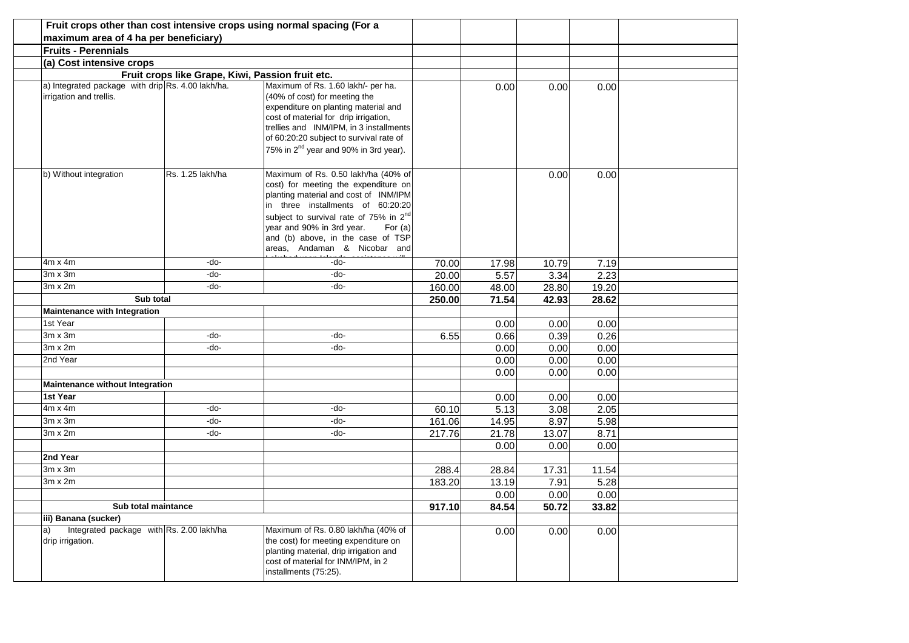| Fruit crops other than cost intensive crops using normal spacing (For a      |                                                  |                                                                                                                                                                                                                                                                                                                                |        |                  |       |       |  |
|------------------------------------------------------------------------------|--------------------------------------------------|--------------------------------------------------------------------------------------------------------------------------------------------------------------------------------------------------------------------------------------------------------------------------------------------------------------------------------|--------|------------------|-------|-------|--|
| maximum area of 4 ha per beneficiary)                                        |                                                  |                                                                                                                                                                                                                                                                                                                                |        |                  |       |       |  |
| <b>Fruits - Perennials</b>                                                   |                                                  |                                                                                                                                                                                                                                                                                                                                |        |                  |       |       |  |
| (a) Cost intensive crops                                                     |                                                  |                                                                                                                                                                                                                                                                                                                                |        |                  |       |       |  |
|                                                                              | Fruit crops like Grape, Kiwi, Passion fruit etc. |                                                                                                                                                                                                                                                                                                                                |        |                  |       |       |  |
| a) Integrated package with drip Rs. 4.00 lakh/ha.<br>irrigation and trellis. |                                                  | Maximum of Rs. 1.60 lakh/- per ha.<br>(40% of cost) for meeting the<br>expenditure on planting material and<br>cost of material for drip irrigation,<br>trellies and INM/IPM, in 3 installments<br>of 60:20:20 subject to survival rate of<br>75% in 2 <sup>nd</sup> year and 90% in 3rd year).                                |        | 0.00             | 0.00  | 0.00  |  |
| b) Without integration                                                       | Rs. 1.25 lakh/ha                                 | Maximum of Rs. 0.50 lakh/ha (40% of<br>cost) for meeting the expenditure on<br>planting material and cost of INM/IPM<br>in three installments of 60:20:20<br>subject to survival rate of 75% in 2 <sup>nd</sup><br>year and 90% in 3rd year.<br>For $(a)$<br>and (b) above, in the case of TSP<br>areas, Andaman & Nicobar and |        |                  | 0.00  | 0.00  |  |
| $4m \times 4m$                                                               | -do-                                             | -do-                                                                                                                                                                                                                                                                                                                           | 70.00  | 17.98            | 10.79 | 7.19  |  |
| 3m x 3m                                                                      | -do-                                             | -do-                                                                                                                                                                                                                                                                                                                           | 20.00  | $\frac{1}{5.57}$ | 3.34  | 2.23  |  |
| 3m x 2m                                                                      | -do-                                             | -do-                                                                                                                                                                                                                                                                                                                           | 160.00 | 48.00            | 28.80 | 19.20 |  |
| Sub total                                                                    |                                                  |                                                                                                                                                                                                                                                                                                                                | 250.00 | 71.54            | 42.93 | 28.62 |  |
| <b>Maintenance with Integration</b>                                          |                                                  |                                                                                                                                                                                                                                                                                                                                |        |                  |       |       |  |
| 1st Year                                                                     |                                                  |                                                                                                                                                                                                                                                                                                                                |        | 0.00             | 0.00  | 0.00  |  |
| $3m \times 3m$                                                               | -do-                                             | -do-                                                                                                                                                                                                                                                                                                                           | 6.55   | 0.66             | 0.39  | 0.26  |  |
| $3m \times 2m$                                                               | -do-                                             | -do-                                                                                                                                                                                                                                                                                                                           |        | 0.00             | 0.00  | 0.00  |  |
| 2nd Year                                                                     |                                                  |                                                                                                                                                                                                                                                                                                                                |        | 0.00             | 0.00  | 0.00  |  |
|                                                                              |                                                  |                                                                                                                                                                                                                                                                                                                                |        | 0.00             | 0.00  | 0.00  |  |
| Maintenance without Integration                                              |                                                  |                                                                                                                                                                                                                                                                                                                                |        |                  |       |       |  |
| 1st Year                                                                     |                                                  |                                                                                                                                                                                                                                                                                                                                |        | 0.00             | 0.00  | 0.00  |  |
| $4m \times 4m$                                                               | -do-                                             | -do-                                                                                                                                                                                                                                                                                                                           | 60.10  | 5.13             | 3.08  | 2.05  |  |
| 3m x 3m                                                                      | -do-                                             | -do-                                                                                                                                                                                                                                                                                                                           | 161.06 | 14.95            | 8.97  | 5.98  |  |
| 3m x 2m                                                                      | -do-                                             | -do-                                                                                                                                                                                                                                                                                                                           | 217.76 | 21.78            | 13.07 | 8.71  |  |
|                                                                              |                                                  |                                                                                                                                                                                                                                                                                                                                |        | 0.00             | 0.00  | 0.00  |  |
| 2nd Year                                                                     |                                                  |                                                                                                                                                                                                                                                                                                                                |        |                  |       |       |  |
| 3m x 3m                                                                      |                                                  |                                                                                                                                                                                                                                                                                                                                | 288.4  | 28.84            | 17.31 | 11.54 |  |
| $3m \times 2m$                                                               |                                                  |                                                                                                                                                                                                                                                                                                                                | 183.20 | 13.19            | 7.91  | 5.28  |  |
|                                                                              |                                                  |                                                                                                                                                                                                                                                                                                                                |        | 0.00             | 0.00  | 0.00  |  |
| Sub total maintance                                                          |                                                  |                                                                                                                                                                                                                                                                                                                                | 917.10 | 84.54            | 50.72 | 33.82 |  |
| iii) Banana (sucker)                                                         |                                                  |                                                                                                                                                                                                                                                                                                                                |        |                  |       |       |  |
| Integrated package with Rs. 2.00 lakh/ha<br>a)<br>drip irrigation.           |                                                  | Maximum of Rs. 0.80 lakh/ha (40% of<br>the cost) for meeting expenditure on<br>planting material, drip irrigation and<br>cost of material for INM/IPM, in 2<br>installments (75:25).                                                                                                                                           |        | 0.00             | 0.00  | 0.00  |  |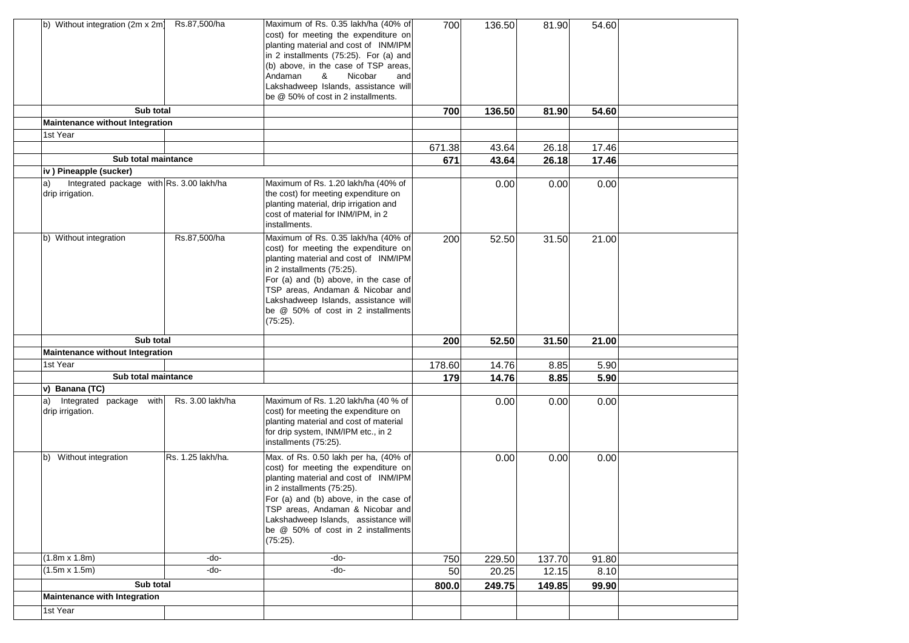| b) Without integration (2m x 2m)                                   | Rs.87,500/ha      | Maximum of Rs. 0.35 lakh/ha (40% of<br>cost) for meeting the expenditure on<br>planting material and cost of INM/IPM<br>in 2 installments (75:25). For (a) and<br>(b) above, in the case of TSP areas,<br>Andaman<br>&<br>Nicobar<br>and<br>Lakshadweep Islands, assistance will<br>be @ 50% of cost in 2 installments.        | 700    | 136.50 | 81.90  | 54.60 |  |
|--------------------------------------------------------------------|-------------------|--------------------------------------------------------------------------------------------------------------------------------------------------------------------------------------------------------------------------------------------------------------------------------------------------------------------------------|--------|--------|--------|-------|--|
| Sub total                                                          |                   |                                                                                                                                                                                                                                                                                                                                | 700    | 136.50 | 81.90  | 54.60 |  |
| Maintenance without Integration                                    |                   |                                                                                                                                                                                                                                                                                                                                |        |        |        |       |  |
| 1st Year                                                           |                   |                                                                                                                                                                                                                                                                                                                                |        |        |        |       |  |
|                                                                    |                   |                                                                                                                                                                                                                                                                                                                                | 671.38 | 43.64  | 26.18  | 17.46 |  |
| Sub total maintance                                                |                   |                                                                                                                                                                                                                                                                                                                                | 671    | 43.64  | 26.18  | 17.46 |  |
| iv) Pineapple (sucker)                                             |                   |                                                                                                                                                                                                                                                                                                                                |        |        |        |       |  |
| Integrated package with Rs. 3.00 lakh/ha<br>a)<br>drip irrigation. |                   | Maximum of Rs. 1.20 lakh/ha (40% of<br>the cost) for meeting expenditure on<br>planting material, drip irrigation and<br>cost of material for INM/IPM, in 2<br>installments.                                                                                                                                                   |        | 0.00   | 0.00   | 0.00  |  |
| b) Without integration                                             | Rs.87,500/ha      | Maximum of Rs. 0.35 lakh/ha (40% of<br>cost) for meeting the expenditure on<br>planting material and cost of INM/IPM<br>in 2 installments (75:25).<br>For (a) and (b) above, in the case of<br>TSP areas, Andaman & Nicobar and<br>Lakshadweep Islands, assistance will<br>be @ 50% of cost in 2 installments<br>(75:25).      | 200    | 52.50  | 31.50  | 21.00 |  |
| Sub total                                                          |                   |                                                                                                                                                                                                                                                                                                                                | 200    | 52.50  | 31.50  | 21.00 |  |
| Maintenance without Integration                                    |                   |                                                                                                                                                                                                                                                                                                                                |        |        |        |       |  |
| 1st Year                                                           |                   |                                                                                                                                                                                                                                                                                                                                | 178.60 | 14.76  | 8.85   | 5.90  |  |
| Sub total maintance                                                |                   |                                                                                                                                                                                                                                                                                                                                | 179    | 14.76  | 8.85   | 5.90  |  |
| v) Banana (TC)                                                     |                   |                                                                                                                                                                                                                                                                                                                                |        |        |        |       |  |
| Integrated package with<br>a)<br>drip irrigation.                  | Rs. 3.00 lakh/ha  | Maximum of Rs. 1.20 lakh/ha (40 % of<br>cost) for meeting the expenditure on<br>planting material and cost of material<br>for drip system, INM/IPM etc., in 2<br>installments (75:25).                                                                                                                                         |        | 0.00   | 0.00   | 0.00  |  |
| Without integration<br>lb)                                         | Rs. 1.25 lakh/ha. | Max. of Rs. 0.50 lakh per ha, (40% of<br>cost) for meeting the expenditure on<br>planting material and cost of INM/IPM<br>in 2 installments (75:25).<br>For (a) and (b) above, in the case of<br>TSP areas, Andaman & Nicobar and<br>Lakshadweep Islands, assistance will<br>be @ 50% of cost in 2 installments<br>$(75:25)$ . |        | 0.00   | 0.00   | 0.00  |  |
| $(1.8m \times 1.8m)$                                               | -do-              | -do-                                                                                                                                                                                                                                                                                                                           | 750    | 229.50 | 137.70 | 91.80 |  |
| $(1.5m \times 1.5m)$                                               | -do-              | -do-                                                                                                                                                                                                                                                                                                                           | 50     | 20.25  | 12.15  | 8.10  |  |
| Sub total                                                          |                   |                                                                                                                                                                                                                                                                                                                                | 800.0  | 249.75 | 149.85 | 99.90 |  |
| Maintenance with Integration                                       |                   |                                                                                                                                                                                                                                                                                                                                |        |        |        |       |  |
| 1st Year                                                           |                   |                                                                                                                                                                                                                                                                                                                                |        |        |        |       |  |
|                                                                    |                   |                                                                                                                                                                                                                                                                                                                                |        |        |        |       |  |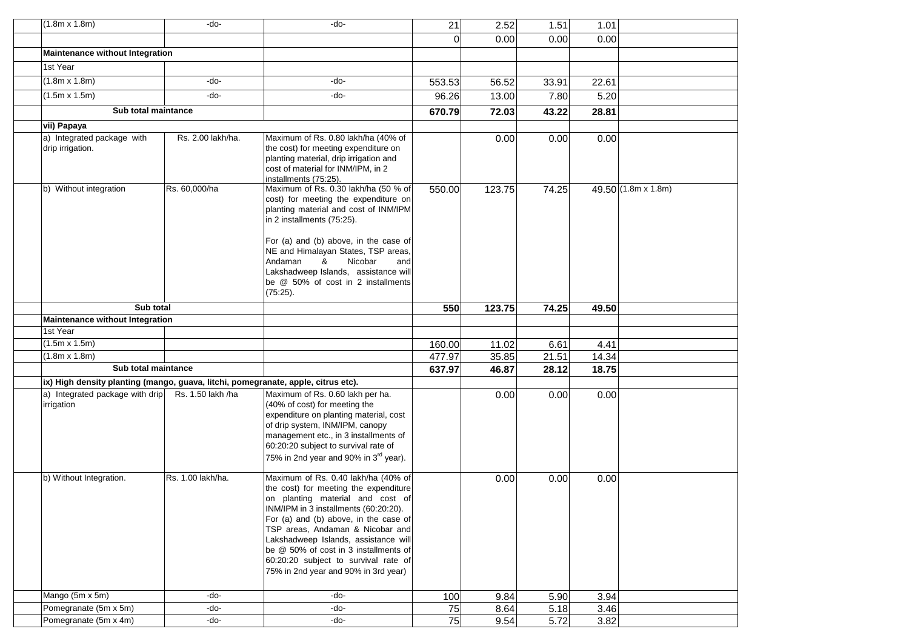| $(1.8m \times 1.8m)$                                                              | -do-              | -do-                                                                                      | 21               | 2.52           | 1.51          | 1.01          |                     |  |
|-----------------------------------------------------------------------------------|-------------------|-------------------------------------------------------------------------------------------|------------------|----------------|---------------|---------------|---------------------|--|
|                                                                                   |                   |                                                                                           | $\Omega$         | 0.00           | 0.00          | 0.00          |                     |  |
| <b>Maintenance without Integration</b>                                            |                   |                                                                                           |                  |                |               |               |                     |  |
| 1st Year                                                                          |                   |                                                                                           |                  |                |               |               |                     |  |
| $(1.8m \times 1.8m)$                                                              | -do-              | -do-                                                                                      | 553.53           | 56.52          | 33.91         | 22.61         |                     |  |
| $(1.5m \times 1.5m)$                                                              | -do-              | -do-                                                                                      | 96.26            | 13.00          | 7.80          | 5.20          |                     |  |
| Sub total maintance                                                               |                   |                                                                                           | 670.79           | 72.03          | 43.22         | 28.81         |                     |  |
| vii) Papaya                                                                       |                   |                                                                                           |                  |                |               |               |                     |  |
| a) Integrated package with                                                        | Rs. 2.00 lakh/ha. | Maximum of Rs. 0.80 lakh/ha (40% of                                                       |                  | 0.00           | 0.00          | 0.00          |                     |  |
| drip irrigation.                                                                  |                   | the cost) for meeting expenditure on                                                      |                  |                |               |               |                     |  |
|                                                                                   |                   | planting material, drip irrigation and                                                    |                  |                |               |               |                     |  |
|                                                                                   |                   | cost of material for INM/IPM, in 2<br>installments (75:25).                               |                  |                |               |               |                     |  |
| b) Without integration                                                            | Rs. 60,000/ha     | Maximum of Rs. 0.30 lakh/ha (50 % of                                                      | 550.00           | 123.75         | 74.25         |               | 49.50 (1.8m x 1.8m) |  |
|                                                                                   |                   | cost) for meeting the expenditure on                                                      |                  |                |               |               |                     |  |
|                                                                                   |                   | planting material and cost of INM/IPM                                                     |                  |                |               |               |                     |  |
|                                                                                   |                   | in 2 installments (75:25).                                                                |                  |                |               |               |                     |  |
|                                                                                   |                   | For (a) and (b) above, in the case of                                                     |                  |                |               |               |                     |  |
|                                                                                   |                   | NE and Himalayan States, TSP areas,                                                       |                  |                |               |               |                     |  |
|                                                                                   |                   | Nicobar<br>Andaman<br>&<br>and                                                            |                  |                |               |               |                     |  |
|                                                                                   |                   | Lakshadweep Islands, assistance will                                                      |                  |                |               |               |                     |  |
|                                                                                   |                   | be @ 50% of cost in 2 installments                                                        |                  |                |               |               |                     |  |
|                                                                                   |                   | (75:25).                                                                                  |                  |                |               |               |                     |  |
| Sub total                                                                         |                   |                                                                                           | 550              | 123.75         | 74.25         | 49.50         |                     |  |
| Maintenance without Integration<br>1st Year                                       |                   |                                                                                           |                  |                |               |               |                     |  |
| $(1.5m \times 1.5m)$                                                              |                   |                                                                                           |                  |                |               |               |                     |  |
| $(1.8m \times 1.8m)$                                                              |                   |                                                                                           | 160.00<br>477.97 | 11.02<br>35.85 | 6.61<br>21.51 | 4.41<br>14.34 |                     |  |
| Sub total maintance                                                               |                   |                                                                                           | 637.97           | 46.87          | 28.12         | 18.75         |                     |  |
| ix) High density planting (mango, guava, litchi, pomegranate, apple, citrus etc). |                   |                                                                                           |                  |                |               |               |                     |  |
| a) Integrated package with drip                                                   | Rs. 1.50 lakh /ha | Maximum of Rs. 0.60 lakh per ha.                                                          |                  | 0.00           | 0.00          | 0.00          |                     |  |
| irrigation                                                                        |                   | (40% of cost) for meeting the                                                             |                  |                |               |               |                     |  |
|                                                                                   |                   | expenditure on planting material, cost                                                    |                  |                |               |               |                     |  |
|                                                                                   |                   | of drip system, INM/IPM, canopy                                                           |                  |                |               |               |                     |  |
|                                                                                   |                   | management etc., in 3 installments of                                                     |                  |                |               |               |                     |  |
|                                                                                   |                   | 60:20:20 subject to survival rate of<br>75% in 2nd year and 90% in 3 <sup>rd</sup> year). |                  |                |               |               |                     |  |
|                                                                                   |                   |                                                                                           |                  |                |               |               |                     |  |
| b) Without Integration.                                                           | Rs. 1.00 lakh/ha. | Maximum of Rs. 0.40 lakh/ha (40% of                                                       |                  | 0.00           | 0.00          | 0.00          |                     |  |
|                                                                                   |                   | the cost) for meeting the expenditure                                                     |                  |                |               |               |                     |  |
|                                                                                   |                   | on planting material and cost of                                                          |                  |                |               |               |                     |  |
|                                                                                   |                   | INM/IPM in 3 installments (60:20:20).<br>For (a) and (b) above, in the case of            |                  |                |               |               |                     |  |
|                                                                                   |                   | TSP areas, Andaman & Nicobar and                                                          |                  |                |               |               |                     |  |
|                                                                                   |                   | Lakshadweep Islands, assistance will                                                      |                  |                |               |               |                     |  |
|                                                                                   |                   | be @ 50% of cost in 3 installments of                                                     |                  |                |               |               |                     |  |
|                                                                                   |                   | 60:20:20 subject to survival rate of                                                      |                  |                |               |               |                     |  |
|                                                                                   |                   | 75% in 2nd year and 90% in 3rd year)                                                      |                  |                |               |               |                     |  |
| Mango (5m x 5m)                                                                   | -do-              | -do-                                                                                      | 100              | 9.84           | 5.90          | 3.94          |                     |  |
| Pomegranate (5m x 5m)                                                             | -do-              | -do-                                                                                      | 75               | 8.64           | 5.18          | 3.46          |                     |  |
| Pomegranate (5m x 4m)                                                             | -do-              | -do-                                                                                      | 75               | 9.54           | 5.72          | 3.82          |                     |  |
|                                                                                   |                   |                                                                                           |                  |                |               |               |                     |  |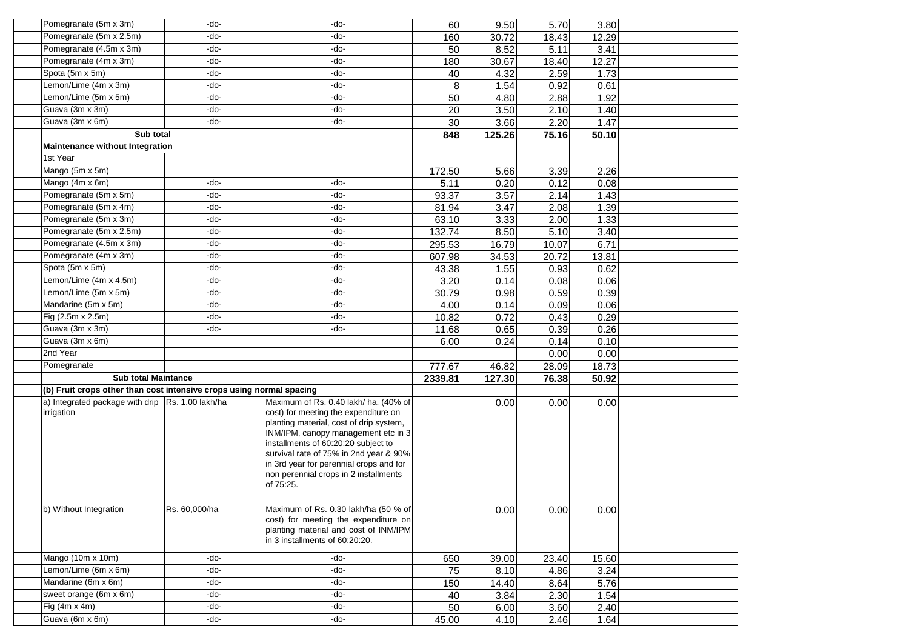| Pomegranate (5m x 3m)                                                | -do-          | -do-                                                                                                                                                                                                                                                                                                                                              | 60      | 9.50   | 5.70  | 3.80  |  |
|----------------------------------------------------------------------|---------------|---------------------------------------------------------------------------------------------------------------------------------------------------------------------------------------------------------------------------------------------------------------------------------------------------------------------------------------------------|---------|--------|-------|-------|--|
| Pomegranate (5m x 2.5m)                                              | -do-          | -do-                                                                                                                                                                                                                                                                                                                                              | 160     | 30.72  | 18.43 | 12.29 |  |
| Pomegranate (4.5m x 3m)                                              | -do-          | -do-                                                                                                                                                                                                                                                                                                                                              | 50      | 8.52   | 5.11  | 3.41  |  |
| Pomegranate (4m x 3m)                                                | -do-          | -do-                                                                                                                                                                                                                                                                                                                                              | 180     | 30.67  | 18.40 | 12.27 |  |
| Spota (5m x 5m)                                                      | -do-          | -do-                                                                                                                                                                                                                                                                                                                                              | 40      | 4.32   | 2.59  | 1.73  |  |
| Lemon/Lime (4m x 3m)                                                 | -do-          | -do-                                                                                                                                                                                                                                                                                                                                              | 8       | 1.54   | 0.92  | 0.61  |  |
| Lemon/Lime (5m x 5m)                                                 | -do-          | -do-                                                                                                                                                                                                                                                                                                                                              | 50      | 4.80   | 2.88  | 1.92  |  |
| Guava (3m x 3m)                                                      | -do-          | -do-                                                                                                                                                                                                                                                                                                                                              | 20      | 3.50   | 2.10  | 1.40  |  |
| Guava (3m x 6m)                                                      | -do-          | -do-                                                                                                                                                                                                                                                                                                                                              | 30      | 3.66   | 2.20  | 1.47  |  |
| Sub total                                                            |               |                                                                                                                                                                                                                                                                                                                                                   | 848     | 125.26 | 75.16 | 50.10 |  |
| Maintenance without Integration                                      |               |                                                                                                                                                                                                                                                                                                                                                   |         |        |       |       |  |
| 1st Year                                                             |               |                                                                                                                                                                                                                                                                                                                                                   |         |        |       |       |  |
| Mango (5m x 5m)                                                      |               |                                                                                                                                                                                                                                                                                                                                                   | 172.50  | 5.66   | 3.39  | 2.26  |  |
| Mango (4m x 6m)                                                      | -do-          | -do-                                                                                                                                                                                                                                                                                                                                              | 5.11    | 0.20   | 0.12  | 0.08  |  |
| Pomegranate (5m x 5m)                                                | -do-          | -do-                                                                                                                                                                                                                                                                                                                                              | 93.37   | 3.57   | 2.14  | 1.43  |  |
| Pomegranate (5m x 4m)                                                | -do-          | -do-                                                                                                                                                                                                                                                                                                                                              | 81.94   | 3.47   | 2.08  | 1.39  |  |
| Pomegranate (5m x 3m)                                                | -do-          | -do-                                                                                                                                                                                                                                                                                                                                              | 63.10   | 3.33   | 2.00  | 1.33  |  |
| Pomegranate (5m x 2.5m)                                              | -do-          | -do-                                                                                                                                                                                                                                                                                                                                              | 132.74  | 8.50   | 5.10  | 3.40  |  |
| Pomegranate (4.5m x 3m)                                              | -do-          | -do-                                                                                                                                                                                                                                                                                                                                              | 295.53  | 16.79  | 10.07 | 6.71  |  |
| Pomegranate (4m x 3m)                                                | -do-          | -do-                                                                                                                                                                                                                                                                                                                                              | 607.98  | 34.53  | 20.72 | 13.81 |  |
| Spota (5m x 5m)                                                      | -do-          | -do-                                                                                                                                                                                                                                                                                                                                              | 43.38   | 1.55   | 0.93  | 0.62  |  |
| Lemon/Lime (4m x 4.5m)                                               | -do-          | -do-                                                                                                                                                                                                                                                                                                                                              | 3.20    | 0.14   | 0.08  | 0.06  |  |
| Lemon/Lime (5m x 5m)                                                 | -do-          | -do-                                                                                                                                                                                                                                                                                                                                              | 30.79   | 0.98   | 0.59  | 0.39  |  |
| Mandarine (5m x 5m)                                                  | -do-          | -do-                                                                                                                                                                                                                                                                                                                                              | 4.00    | 0.14   | 0.09  | 0.06  |  |
| Fig (2.5m x 2.5m)                                                    | -do-          | -do-                                                                                                                                                                                                                                                                                                                                              | 10.82   | 0.72   | 0.43  | 0.29  |  |
| Guava (3m x 3m)                                                      | -do-          | -do-                                                                                                                                                                                                                                                                                                                                              | 11.68   | 0.65   | 0.39  | 0.26  |  |
| Guava (3m x 6m)                                                      |               |                                                                                                                                                                                                                                                                                                                                                   | 6.00    | 0.24   | 0.14  | 0.10  |  |
| 2nd Year                                                             |               |                                                                                                                                                                                                                                                                                                                                                   |         |        | 0.00  | 0.00  |  |
| Pomegranate                                                          |               |                                                                                                                                                                                                                                                                                                                                                   | 777.67  | 46.82  | 28.09 | 18.73 |  |
| <b>Sub total Maintance</b>                                           |               |                                                                                                                                                                                                                                                                                                                                                   | 2339.81 | 127.30 | 76.38 | 50.92 |  |
| (b) Fruit crops other than cost intensive crops using normal spacing |               |                                                                                                                                                                                                                                                                                                                                                   |         |        |       |       |  |
| a) Integrated package with drip   Rs. 1.00 lakh/ha<br>irrigation     |               | Maximum of Rs. 0.40 lakh/ ha. (40% of<br>cost) for meeting the expenditure on<br>planting material, cost of drip system,<br>INM/IPM, canopy management etc in 3<br>installments of 60:20:20 subject to<br>survival rate of 75% in 2nd year & 90%<br>in 3rd year for perennial crops and for<br>non perennial crops in 2 installments<br>of 75:25. |         | 0.00   | 0.00  | 0.00  |  |
| b) Without Integration                                               | Rs. 60,000/ha | Maximum of Rs. 0.30 lakh/ha (50 % of<br>cost) for meeting the expenditure on<br>planting material and cost of INM/IPM<br>in 3 installments of 60:20:20.                                                                                                                                                                                           |         | 0.00   | 0.00  | 0.00  |  |
| Mango (10m x 10m)                                                    | -do-          | -do-                                                                                                                                                                                                                                                                                                                                              | 650     | 39.00  | 23.40 | 15.60 |  |
| Lemon/Lime (6m x 6m)                                                 | -do-          | -do-                                                                                                                                                                                                                                                                                                                                              | 75      | 8.10   | 4.86  | 3.24  |  |
| Mandarine (6m x 6m)                                                  | -do-          | -do-                                                                                                                                                                                                                                                                                                                                              | 150     | 14.40  | 8.64  | 5.76  |  |
| sweet orange (6m x 6m)                                               | -do-          | -do-                                                                                                                                                                                                                                                                                                                                              | 40      | 3.84   | 2.30  | 1.54  |  |
| Fig $(4m \times 4m)$                                                 | -do-          | -do-                                                                                                                                                                                                                                                                                                                                              | 50      | 6.00   | 3.60  | 2.40  |  |
| Guava (6m x 6m)                                                      | -do-          | -do-                                                                                                                                                                                                                                                                                                                                              | 45.00   | 4.10   | 2.46  | 1.64  |  |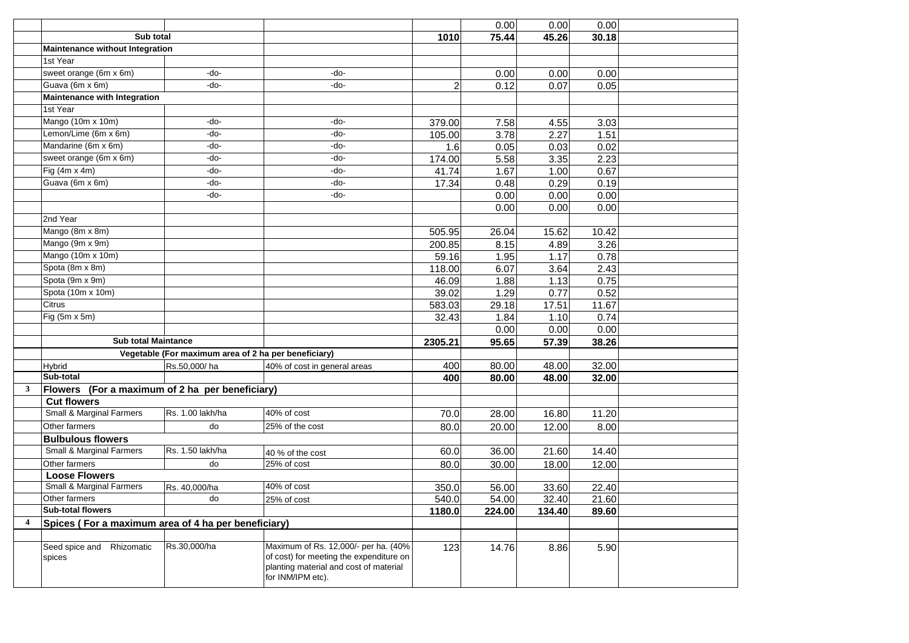|   |                                                     |                                                      |                                                                                                                                                |                | 0.00   | 0.00   | 0.00  |  |
|---|-----------------------------------------------------|------------------------------------------------------|------------------------------------------------------------------------------------------------------------------------------------------------|----------------|--------|--------|-------|--|
|   | Sub total                                           |                                                      |                                                                                                                                                | 1010           | 75.44  | 45.26  | 30.18 |  |
|   | Maintenance without Integration                     |                                                      |                                                                                                                                                |                |        |        |       |  |
|   | 1st Year                                            |                                                      |                                                                                                                                                |                |        |        |       |  |
|   | sweet orange (6m x 6m)                              | -do-                                                 | -do-                                                                                                                                           |                | 0.00   | 0.00   | 0.00  |  |
|   | Guava (6m x 6m)                                     | -do-                                                 | -do-                                                                                                                                           | $\overline{2}$ | 0.12   | 0.07   | 0.05  |  |
|   | <b>Maintenance with Integration</b>                 |                                                      |                                                                                                                                                |                |        |        |       |  |
|   | 1st Year                                            |                                                      |                                                                                                                                                |                |        |        |       |  |
|   | Mango (10m x 10m)                                   | -do-                                                 | -do-                                                                                                                                           | 379.00         | 7.58   | 4.55   | 3.03  |  |
|   | Lemon/Lime (6m x 6m)                                | -do-                                                 | -do-                                                                                                                                           | 105.00         | 3.78   | 2.27   | 1.51  |  |
|   | Mandarine (6m x 6m)                                 | -do-                                                 | -do-                                                                                                                                           | 1.6            | 0.05   | 0.03   | 0.02  |  |
|   | sweet orange (6m x 6m)                              | -do-                                                 | -do-                                                                                                                                           | 174.00         | 5.58   | 3.35   | 2.23  |  |
|   | Fig $(4m \times 4m)$                                | -do-                                                 | -do-                                                                                                                                           | 41.74          | 1.67   | 1.00   | 0.67  |  |
|   | Guava (6m x 6m)                                     | -do-                                                 | -do-                                                                                                                                           | 17.34          | 0.48   | 0.29   | 0.19  |  |
|   |                                                     | -do-                                                 | -do-                                                                                                                                           |                | 0.00   | 0.00   | 0.00  |  |
|   |                                                     |                                                      |                                                                                                                                                |                | 0.00   | 0.00   | 0.00  |  |
|   | 2nd Year                                            |                                                      |                                                                                                                                                |                |        |        |       |  |
|   | Mango (8m x 8m)                                     |                                                      |                                                                                                                                                | 505.95         | 26.04  | 15.62  | 10.42 |  |
|   | Mango (9m x 9m)                                     |                                                      |                                                                                                                                                | 200.85         | 8.15   | 4.89   | 3.26  |  |
|   | Mango (10m x 10m)                                   |                                                      |                                                                                                                                                | 59.16          | 1.95   | 1.17   | 0.78  |  |
|   | Spota (8m x 8m)                                     |                                                      |                                                                                                                                                | 118.00         | 6.07   | 3.64   | 2.43  |  |
|   | Spota (9m x 9m)                                     |                                                      |                                                                                                                                                | 46.09          | 1.88   | 1.13   | 0.75  |  |
|   | Spota (10m x 10m)                                   |                                                      |                                                                                                                                                | 39.02          | 1.29   | 0.77   | 0.52  |  |
|   | Citrus                                              |                                                      |                                                                                                                                                | 583.03         | 29.18  | 17.51  | 11.67 |  |
|   | Fig (5m x 5m)                                       |                                                      |                                                                                                                                                | 32.43          | 1.84   | 1.10   | 0.74  |  |
|   |                                                     |                                                      |                                                                                                                                                |                | 0.00   | 0.00   | 0.00  |  |
|   | <b>Sub total Maintance</b>                          |                                                      |                                                                                                                                                | 2305.21        | 95.65  | 57.39  | 38.26 |  |
|   |                                                     | Vegetable (For maximum area of 2 ha per beneficiary) |                                                                                                                                                |                |        |        |       |  |
|   | Hybrid                                              | Rs.50,000/ha                                         | 40% of cost in general areas                                                                                                                   | 400            | 80.00  | 48.00  | 32.00 |  |
|   | Sub-total                                           |                                                      |                                                                                                                                                | 400            | 80.00  | 48.00  | 32.00 |  |
| 3 | <b>Flowers</b>                                      | (For a maximum of 2 ha per beneficiary)              |                                                                                                                                                |                |        |        |       |  |
|   | <b>Cut flowers</b>                                  |                                                      |                                                                                                                                                |                |        |        |       |  |
|   | <b>Small &amp; Marginal Farmers</b>                 | Rs. 1.00 lakh/ha                                     | 40% of cost                                                                                                                                    | 70.0           | 28.00  | 16.80  | 11.20 |  |
|   | Other farmers                                       | do                                                   | 25% of the cost                                                                                                                                | 80.0           | 20.00  | 12.00  | 8.00  |  |
|   | <b>Bulbulous flowers</b>                            |                                                      |                                                                                                                                                |                |        |        |       |  |
|   | <b>Small &amp; Marginal Farmers</b>                 | Rs. 1.50 lakh/ha                                     | 40 % of the cost                                                                                                                               | 60.0           | 36.00  | 21.60  | 14.40 |  |
|   | Other farmers                                       | do                                                   | 25% of cost                                                                                                                                    | 80.0           | 30.00  | 18.00  | 12.00 |  |
|   | <b>Loose Flowers</b>                                |                                                      |                                                                                                                                                |                |        |        |       |  |
|   | Small & Marginal Farmers                            | Rs. 40,000/ha                                        | 40% of cost                                                                                                                                    | 350.0          | 56.00  | 33.60  | 22.40 |  |
|   | Other farmers                                       | do                                                   | 25% of cost                                                                                                                                    | 540.0          | 54.00  | 32.40  | 21.60 |  |
|   | <b>Sub-total flowers</b>                            |                                                      |                                                                                                                                                | 1180.0         | 224.00 | 134.40 | 89.60 |  |
| 4 | Spices (For a maximum area of 4 ha per beneficiary) |                                                      |                                                                                                                                                |                |        |        |       |  |
|   |                                                     |                                                      |                                                                                                                                                |                |        |        |       |  |
|   | Seed spice and Rhizomatic<br>spices                 | Rs.30,000/ha                                         | Maximum of Rs. 12,000/- per ha. (40%<br>of cost) for meeting the expenditure on<br>planting material and cost of material<br>for INM/IPM etc). | 123            | 14.76  | 8.86   | 5.90  |  |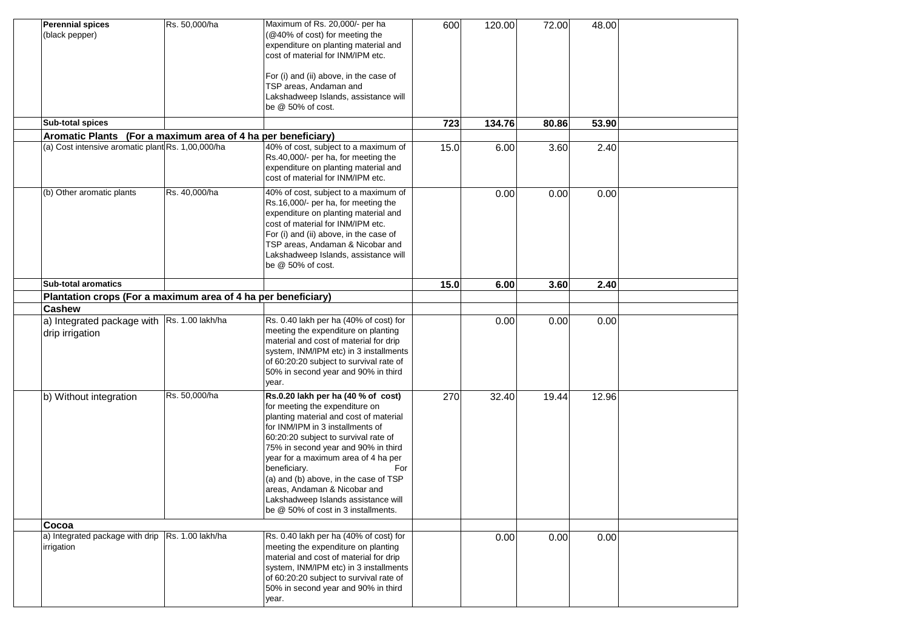| <b>Perennial spices</b><br>(black pepper)                     | Rs. 50,000/ha    | Maximum of Rs. 20,000/- per ha<br>(@40% of cost) for meeting the<br>expenditure on planting material and<br>cost of material for INM/IPM etc.<br>For (i) and (ii) above, in the case of<br>TSP areas, Andaman and<br>Lakshadweep Islands, assistance will<br>be @ 50% of cost.                                                                                                                                                                         | 600  | 120.00 | 72.00 | 48.00 |  |
|---------------------------------------------------------------|------------------|--------------------------------------------------------------------------------------------------------------------------------------------------------------------------------------------------------------------------------------------------------------------------------------------------------------------------------------------------------------------------------------------------------------------------------------------------------|------|--------|-------|-------|--|
| <b>Sub-total spices</b>                                       |                  |                                                                                                                                                                                                                                                                                                                                                                                                                                                        | 723  | 134.76 | 80.86 | 53.90 |  |
| Aromatic Plants (For a maximum area of 4 ha per beneficiary)  |                  |                                                                                                                                                                                                                                                                                                                                                                                                                                                        |      |        |       |       |  |
| (a) Cost intensive aromatic plant Rs. 1,00,000/ha             |                  | 40% of cost, subject to a maximum of<br>Rs.40,000/- per ha, for meeting the<br>expenditure on planting material and<br>cost of material for INM/IPM etc.                                                                                                                                                                                                                                                                                               | 15.0 | 6.00   | 3.60  | 2.40  |  |
| (b) Other aromatic plants                                     | Rs. 40,000/ha    | 40% of cost, subject to a maximum of<br>Rs.16,000/- per ha, for meeting the<br>expenditure on planting material and<br>cost of material for INM/IPM etc.<br>For (i) and (ii) above, in the case of<br>TSP areas, Andaman & Nicobar and<br>Lakshadweep Islands, assistance will<br>be $@$ 50% of cost.                                                                                                                                                  |      | 0.00   | 0.00  | 0.00  |  |
| <b>Sub-total aromatics</b>                                    |                  |                                                                                                                                                                                                                                                                                                                                                                                                                                                        | 15.0 | 6.00   | 3.60  | 2.40  |  |
| Plantation crops (For a maximum area of 4 ha per beneficiary) |                  |                                                                                                                                                                                                                                                                                                                                                                                                                                                        |      |        |       |       |  |
| <b>Cashew</b>                                                 |                  |                                                                                                                                                                                                                                                                                                                                                                                                                                                        |      |        |       |       |  |
| a) Integrated package with<br>drip irrigation                 | Rs. 1.00 lakh/ha | Rs. 0.40 lakh per ha (40% of cost) for<br>meeting the expenditure on planting<br>material and cost of material for drip<br>system, INM/IPM etc) in 3 installments<br>of 60:20:20 subject to survival rate of<br>50% in second year and 90% in third<br>year.                                                                                                                                                                                           |      | 0.00   | 0.00  | 0.00  |  |
| b) Without integration                                        | Rs. 50,000/ha    | Rs.0.20 lakh per ha (40 % of cost)<br>for meeting the expenditure on<br>planting material and cost of material<br>for INM/IPM in 3 installments of<br>60:20:20 subject to survival rate of<br>75% in second year and 90% in third<br>year for a maximum area of 4 ha per<br>beneficiary.<br>For<br>(a) and (b) above, in the case of TSP<br>areas, Andaman & Nicobar and<br>Lakshadweep Islands assistance will<br>be @ 50% of cost in 3 installments. | 270  | 32.40  | 19.44 | 12.96 |  |
| Cocoa                                                         |                  |                                                                                                                                                                                                                                                                                                                                                                                                                                                        |      |        |       |       |  |
| a) Integrated package with drip<br>irrigation                 | Rs. 1.00 lakh/ha | Rs. 0.40 lakh per ha (40% of cost) for<br>meeting the expenditure on planting<br>material and cost of material for drip<br>system, INM/IPM etc) in 3 installments<br>of 60:20:20 subject to survival rate of<br>50% in second year and 90% in third<br>year.                                                                                                                                                                                           |      | 0.00   | 0.00  | 0.00  |  |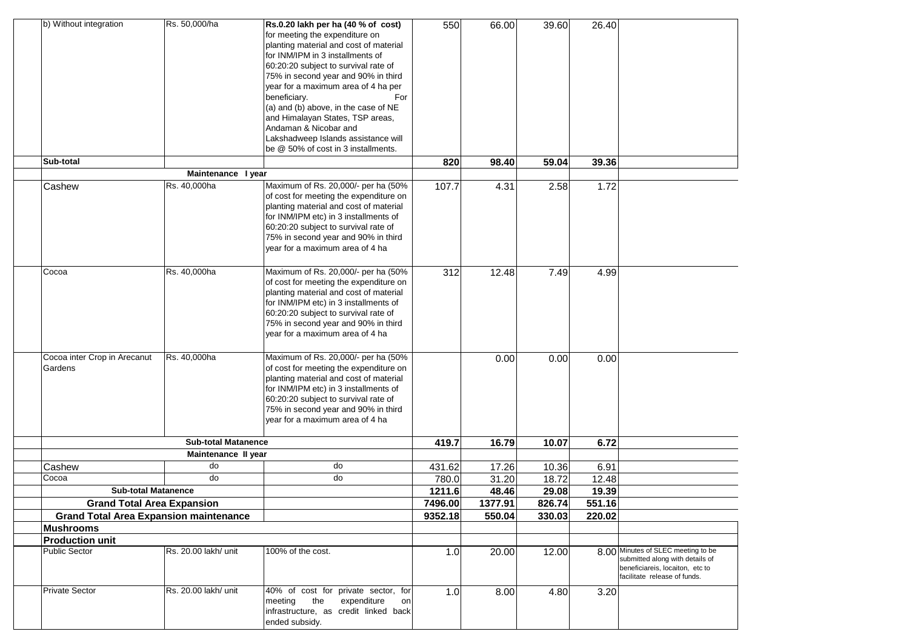| b) Without integration                                                             | Rs. 50,000/ha              | Rs.0.20 lakh per ha (40 % of cost)<br>for meeting the expenditure on<br>planting material and cost of material<br>for INM/IPM in 3 installments of<br>60:20:20 subject to survival rate of<br>75% in second year and 90% in third<br>year for a maximum area of 4 ha per<br>beneficiary.<br>For<br>(a) and (b) above, in the case of NE<br>and Himalayan States, TSP areas,<br>Andaman & Nicobar and | 550               | 66.00            | 39.60           | 26.40           |                                                                                                                                          |
|------------------------------------------------------------------------------------|----------------------------|------------------------------------------------------------------------------------------------------------------------------------------------------------------------------------------------------------------------------------------------------------------------------------------------------------------------------------------------------------------------------------------------------|-------------------|------------------|-----------------|-----------------|------------------------------------------------------------------------------------------------------------------------------------------|
|                                                                                    |                            | Lakshadweep Islands assistance will<br>be @ 50% of cost in 3 installments.                                                                                                                                                                                                                                                                                                                           |                   |                  |                 |                 |                                                                                                                                          |
| Sub-total                                                                          |                            |                                                                                                                                                                                                                                                                                                                                                                                                      | 820               | 98.40            | 59.04           | 39.36           |                                                                                                                                          |
|                                                                                    | Maintenance I year         |                                                                                                                                                                                                                                                                                                                                                                                                      |                   |                  |                 |                 |                                                                                                                                          |
| Cashew                                                                             | Rs. 40,000ha               | Maximum of Rs. 20,000/- per ha (50%<br>of cost for meeting the expenditure on<br>planting material and cost of material<br>for INM/IPM etc) in 3 installments of<br>60:20:20 subject to survival rate of<br>75% in second year and 90% in third<br>year for a maximum area of 4 ha                                                                                                                   | 107.7             | 4.31             | 2.58            | 1.72            |                                                                                                                                          |
| Cocoa                                                                              | Rs. 40,000ha               | Maximum of Rs. 20,000/- per ha (50%<br>of cost for meeting the expenditure on<br>planting material and cost of material<br>for INM/IPM etc) in 3 installments of<br>60:20:20 subject to survival rate of<br>75% in second year and 90% in third<br>year for a maximum area of 4 ha                                                                                                                   | 312               | 12.48            | 7.49            | 4.99            |                                                                                                                                          |
| Cocoa inter Crop in Arecanut<br>Gardens                                            | Rs. 40,000ha               | Maximum of Rs. 20,000/- per ha (50%<br>of cost for meeting the expenditure on<br>planting material and cost of material<br>for INM/IPM etc) in 3 installments of<br>60:20:20 subject to survival rate of<br>75% in second year and 90% in third<br>year for a maximum area of 4 ha                                                                                                                   |                   | 0.00             | 0.00            | 0.00            |                                                                                                                                          |
|                                                                                    | <b>Sub-total Matanence</b> |                                                                                                                                                                                                                                                                                                                                                                                                      | 419.7             | 16.79            | 10.07           | 6.72            |                                                                                                                                          |
|                                                                                    | Maintenance II year        |                                                                                                                                                                                                                                                                                                                                                                                                      |                   |                  |                 |                 |                                                                                                                                          |
| Cashew                                                                             | do                         | do                                                                                                                                                                                                                                                                                                                                                                                                   | 431.62            | 17.26            | 10.36           | 6.91            |                                                                                                                                          |
| Cocoa                                                                              | do                         | do                                                                                                                                                                                                                                                                                                                                                                                                   | 780.0             | 31.20            | 18.72           | 12.48           |                                                                                                                                          |
| <b>Sub-total Matanence</b>                                                         |                            |                                                                                                                                                                                                                                                                                                                                                                                                      | 1211.6<br>7496.00 | 48.46<br>1377.91 | 29.08<br>826.74 | 19.39<br>551.16 |                                                                                                                                          |
| <b>Grand Total Area Expansion</b><br><b>Grand Total Area Expansion maintenance</b> |                            |                                                                                                                                                                                                                                                                                                                                                                                                      | 9352.18           | 550.04           | 330.03          | 220.02          |                                                                                                                                          |
| Mushrooms                                                                          |                            |                                                                                                                                                                                                                                                                                                                                                                                                      |                   |                  |                 |                 |                                                                                                                                          |
| <b>Production unit</b>                                                             |                            |                                                                                                                                                                                                                                                                                                                                                                                                      |                   |                  |                 |                 |                                                                                                                                          |
| Public Sector                                                                      | Rs. 20.00 lakh/ unit       | 100% of the cost.                                                                                                                                                                                                                                                                                                                                                                                    | 1.0               | 20.00            | 12.00           |                 | 8.00 Minutes of SLEC meeting to be<br>submitted along with details of<br>beneficiareis, locaiton, etc to<br>facilitate release of funds. |
| <b>Private Sector</b>                                                              | Rs. 20.00 lakh/ unit       | 40% of cost for private sector, for<br>the<br>meeting<br>expenditure<br>on<br>infrastructure, as credit linked back<br>ended subsidy.                                                                                                                                                                                                                                                                | 1.0               | 8.00             | 4.80            | 3.20            |                                                                                                                                          |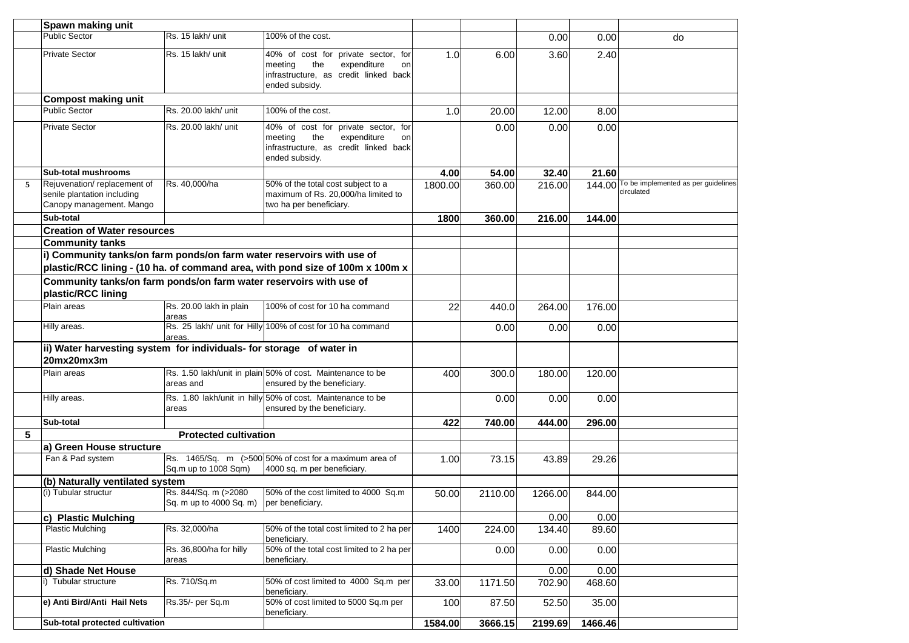|   | Spawn making unit                                                                      |                                                                    |                                                                                                                                       |         |         |         |         |                                                          |
|---|----------------------------------------------------------------------------------------|--------------------------------------------------------------------|---------------------------------------------------------------------------------------------------------------------------------------|---------|---------|---------|---------|----------------------------------------------------------|
|   | <b>Public Sector</b>                                                                   | Rs. 15 lakh/ unit                                                  | 100% of the cost.                                                                                                                     |         |         | 0.00    | 0.00    | do                                                       |
|   | <b>Private Sector</b>                                                                  | Rs. 15 lakh/ unit                                                  | 40% of cost for private sector, for<br>the<br>expenditure<br>meeting<br>on<br>infrastructure, as credit linked back<br>ended subsidy. | 1.0     | 6.00    | 3.60    | 2.40    |                                                          |
|   | <b>Compost making unit</b>                                                             |                                                                    |                                                                                                                                       |         |         |         |         |                                                          |
|   | <b>Public Sector</b>                                                                   | Rs. 20.00 lakh/ unit                                               | 100% of the cost.                                                                                                                     | 1.0     | 20.00   | 12.00   | 8.00    |                                                          |
|   | <b>Private Sector</b>                                                                  | Rs. 20.00 lakh/ unit                                               | 40% of cost for private sector, for<br>the<br>expenditure<br>meeting<br>on<br>infrastructure, as credit linked back<br>ended subsidy. |         | 0.00    | 0.00    | 0.00    |                                                          |
|   | Sub-total mushrooms                                                                    |                                                                    |                                                                                                                                       | 4.00    | 54.00   | 32.40   | 21.60   |                                                          |
| 5 | Rejuvenation/replacement of<br>senile plantation including<br>Canopy management. Mango | Rs. 40,000/ha                                                      | 50% of the total cost subject to a<br>maximum of Rs. 20,000/ha limited to<br>two ha per beneficiary.                                  | 1800.00 | 360.00  | 216.00  |         | 144.00 To be implemented as per guidelines<br>circulated |
|   | Sub-total                                                                              |                                                                    |                                                                                                                                       | 1800    | 360.00  | 216.00  | 144.00  |                                                          |
|   | <b>Creation of Water resources</b>                                                     |                                                                    |                                                                                                                                       |         |         |         |         |                                                          |
|   | <b>Community tanks</b>                                                                 |                                                                    |                                                                                                                                       |         |         |         |         |                                                          |
|   | i) Community tanks/on farm ponds/on farm water reservoirs with use of                  |                                                                    |                                                                                                                                       |         |         |         |         |                                                          |
|   |                                                                                        |                                                                    | plastic/RCC lining - (10 ha. of command area, with pond size of 100m x 100m x                                                         |         |         |         |         |                                                          |
|   | Community tanks/on farm ponds/on farm water reservoirs with use of                     |                                                                    |                                                                                                                                       |         |         |         |         |                                                          |
|   | plastic/RCC lining                                                                     |                                                                    |                                                                                                                                       |         |         |         |         |                                                          |
|   | Plain areas                                                                            | Rs. 20.00 lakh in plain<br>areas                                   | 100% of cost for 10 ha command                                                                                                        | 22      | 440.0   | 264.00  | 176.00  |                                                          |
|   | Hilly areas.                                                                           | areas.                                                             | Rs. 25 lakh/ unit for Hilly 100% of cost for 10 ha command                                                                            |         | 0.00    | 0.00    | 0.00    |                                                          |
|   | ii) Water harvesting system for individuals- for storage of water in                   |                                                                    |                                                                                                                                       |         |         |         |         |                                                          |
|   | 20mx20mx3m                                                                             |                                                                    |                                                                                                                                       |         |         |         |         |                                                          |
|   | Plain areas                                                                            | areas and                                                          | Rs. 1.50 lakh/unit in plain 50% of cost. Maintenance to be<br>ensured by the beneficiary.                                             | 400     | 300.0   | 180.00  | 120.00  |                                                          |
|   | Hilly areas.                                                                           | areas                                                              | Rs. 1.80 lakh/unit in hilly 50% of cost. Maintenance to be<br>ensured by the beneficiary.                                             |         | 0.00    | 0.00    | 0.00    |                                                          |
|   | Sub-total                                                                              |                                                                    |                                                                                                                                       | 422     | 740.00  | 444.00  | 296.00  |                                                          |
| 5 |                                                                                        | <b>Protected cultivation</b>                                       |                                                                                                                                       |         |         |         |         |                                                          |
|   | a) Green House structure                                                               |                                                                    |                                                                                                                                       |         |         |         |         |                                                          |
|   | Fan & Pad system                                                                       | Sq.m up to 1008 Sqm)                                               | Rs. 1465/Sq. m (>500 50% of cost for a maximum area of<br>4000 sq. m per beneficiary.                                                 | 1.00    | 73.15   | 43.89   | 29.26   |                                                          |
|   | (b) Naturally ventilated system                                                        |                                                                    |                                                                                                                                       |         |         |         |         |                                                          |
|   | (i) Tubular structur                                                                   | Rs. 844/Sq. m (>2080<br>ISq. m up to 4000 Sq. m) Iper beneficiary. | 50% of the cost limited to 4000 Sq.m                                                                                                  | 50.00   | 2110.00 | 1266.00 | 844.00  |                                                          |
|   | c) Plastic Mulching                                                                    |                                                                    |                                                                                                                                       |         |         | 0.00    | 0.00    |                                                          |
|   | <b>Plastic Mulching</b>                                                                | Rs. 32,000/ha                                                      | 50% of the total cost limited to 2 ha per<br>beneficiary.                                                                             | 1400    | 224.00  | 134.40  | 89.60   |                                                          |
|   | <b>Plastic Mulching</b>                                                                | Rs. 36,800/ha for hilly<br>areas                                   | 50% of the total cost limited to 2 ha per<br>beneficiary.                                                                             |         | 0.00    | 0.00    | 0.00    |                                                          |
|   | d) Shade Net House                                                                     |                                                                    |                                                                                                                                       |         |         | 0.00    | 0.00    |                                                          |
|   | i) Tubular structure                                                                   | Rs. 710/Sq.m                                                       | 50% of cost limited to 4000 Sq.m per<br>beneficiary.                                                                                  | 33.00   | 1171.50 | 702.90  | 468.60  |                                                          |
|   | e) Anti Bird/Anti Hail Nets                                                            | Rs.35/- per Sq.m                                                   | 50% of cost limited to 5000 Sq.m per<br>beneficiary.                                                                                  | 100     | 87.50   | 52.50   | 35.00   |                                                          |
|   | Sub-total protected cultivation                                                        |                                                                    |                                                                                                                                       | 1584.00 | 3666.15 | 2199.69 | 1466.46 |                                                          |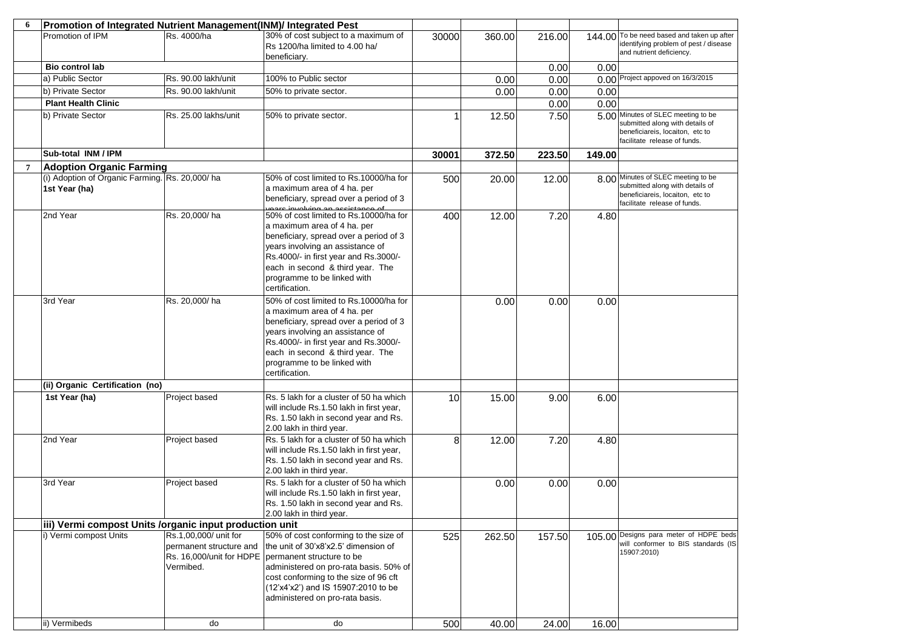| 6              | Promotion of Integrated Nutrient Management(INM)/ Integrated Pest |                                                               |                                                                                                                                                                                                                                                                                                    |       |        |        |        |                                                                                                                                          |
|----------------|-------------------------------------------------------------------|---------------------------------------------------------------|----------------------------------------------------------------------------------------------------------------------------------------------------------------------------------------------------------------------------------------------------------------------------------------------------|-------|--------|--------|--------|------------------------------------------------------------------------------------------------------------------------------------------|
|                | Promotion of IPM                                                  | Rs. 4000/ha                                                   | 30% of cost subject to a maximum of<br>Rs 1200/ha limited to 4.00 ha/<br>beneficiary.                                                                                                                                                                                                              | 30000 | 360.00 | 216.00 | 144.00 | To be need based and taken up after<br>identifying problem of pest / disease<br>and nutrient deficiency.                                 |
|                | Bio control lab                                                   |                                                               |                                                                                                                                                                                                                                                                                                    |       |        | 0.00   | 0.00   |                                                                                                                                          |
|                | a) Public Sector                                                  | Rs. 90.00 lakh/unit                                           | 100% to Public sector                                                                                                                                                                                                                                                                              |       | 0.00   | 0.00   |        | 0.00 Project appoved on 16/3/2015                                                                                                        |
|                | b) Private Sector                                                 | Rs. 90.00 lakh/unit                                           | 50% to private sector.                                                                                                                                                                                                                                                                             |       | 0.00   | 0.00   | 0.00   |                                                                                                                                          |
|                | <b>Plant Health Clinic</b>                                        |                                                               |                                                                                                                                                                                                                                                                                                    |       |        | 0.00   | 0.00   |                                                                                                                                          |
|                | b) Private Sector                                                 | Rs. 25.00 lakhs/unit                                          | 50% to private sector.                                                                                                                                                                                                                                                                             |       | 12.50  | 7.50   |        | 5.00 Minutes of SLEC meeting to be<br>submitted along with details of<br>beneficiareis, locaiton, etc to<br>facilitate release of funds. |
|                | Sub-total INM / IPM                                               |                                                               |                                                                                                                                                                                                                                                                                                    | 30001 | 372.50 | 223.50 | 149.00 |                                                                                                                                          |
| $\overline{7}$ | <b>Adoption Organic Farming</b>                                   |                                                               |                                                                                                                                                                                                                                                                                                    |       |        |        |        |                                                                                                                                          |
|                | (i) Adoption of Organic Farming. Rs. 20,000/ha<br>1st Year (ha)   |                                                               | 50% of cost limited to Rs.10000/ha for<br>a maximum area of 4 ha. per<br>beneficiary, spread over a period of 3<br>vegre involving an accidence of                                                                                                                                                 | 500   | 20.00  | 12.00  |        | 8.00 Minutes of SLEC meeting to be<br>submitted along with details of<br>beneficiareis, locaiton, etc to<br>facilitate release of funds. |
|                | 2nd Year                                                          | Rs. 20,000/ha                                                 | 50% of cost limited to Rs.10000/ha for<br>a maximum area of 4 ha. per<br>beneficiary, spread over a period of 3<br>years involving an assistance of<br>Rs.4000/- in first year and Rs.3000/-<br>each in second & third year. The<br>programme to be linked with<br>certification.                  | 400   | 12.00  | 7.20   | 4.80   |                                                                                                                                          |
|                | 3rd Year                                                          | Rs. 20,000/ha                                                 | 50% of cost limited to Rs.10000/ha for<br>a maximum area of 4 ha. per<br>beneficiary, spread over a period of 3<br>years involving an assistance of<br>Rs.4000/- in first year and Rs.3000/-<br>each in second & third year. The<br>programme to be linked with<br>certification.                  |       | 0.00   | 0.00   | 0.00   |                                                                                                                                          |
|                | (ii) Organic Certification (no)                                   |                                                               |                                                                                                                                                                                                                                                                                                    |       |        |        |        |                                                                                                                                          |
|                | 1st Year (ha)                                                     | Project based                                                 | Rs. 5 lakh for a cluster of 50 ha which<br>will include Rs.1.50 lakh in first year,<br>Rs. 1.50 lakh in second year and Rs.<br>2.00 lakh in third year.                                                                                                                                            | 10    | 15.00  | 9.00   | 6.00   |                                                                                                                                          |
|                | 2nd Year                                                          | Project based                                                 | Rs. 5 lakh for a cluster of 50 ha which<br>will include Rs.1.50 lakh in first year,<br>Rs. 1.50 lakh in second year and Rs.<br>2.00 lakh in third year.                                                                                                                                            | 8     | 12.00  | 7.20   | 4.80   |                                                                                                                                          |
|                | 3rd Year                                                          | Project based                                                 | Rs. 5 lakh for a cluster of 50 ha which<br>will include Rs.1.50 lakh in first year,<br>Rs. 1.50 lakh in second year and Rs.<br>2.00 lakh in third year.                                                                                                                                            |       | 0.00   | 0.00   | 0.00   |                                                                                                                                          |
|                | iii) Vermi compost Units / organic input production unit          |                                                               |                                                                                                                                                                                                                                                                                                    |       |        |        |        |                                                                                                                                          |
|                | i) Vermi compost Units                                            | Rs.1,00,000/ unit for<br>permanent structure and<br>Vermibed. | 50% of cost conforming to the size of<br>the unit of 30'x8'x2.5' dimension of<br>Rs. 16,000/unit for HDPE   permanent structure to be<br>administered on pro-rata basis. 50% of<br>cost conforming to the size of 96 cft<br>(12'x4'x2') and IS 15907:2010 to be<br>administered on pro-rata basis. | 525   | 262.50 | 157.50 |        | 105.00 Designs para meter of HDPE beds<br>will conformer to BIS standards (IS<br>15907:2010)                                             |
|                | ii) Vermibeds                                                     | do                                                            | do                                                                                                                                                                                                                                                                                                 | 500   | 40.00  | 24.00  | 16.00  |                                                                                                                                          |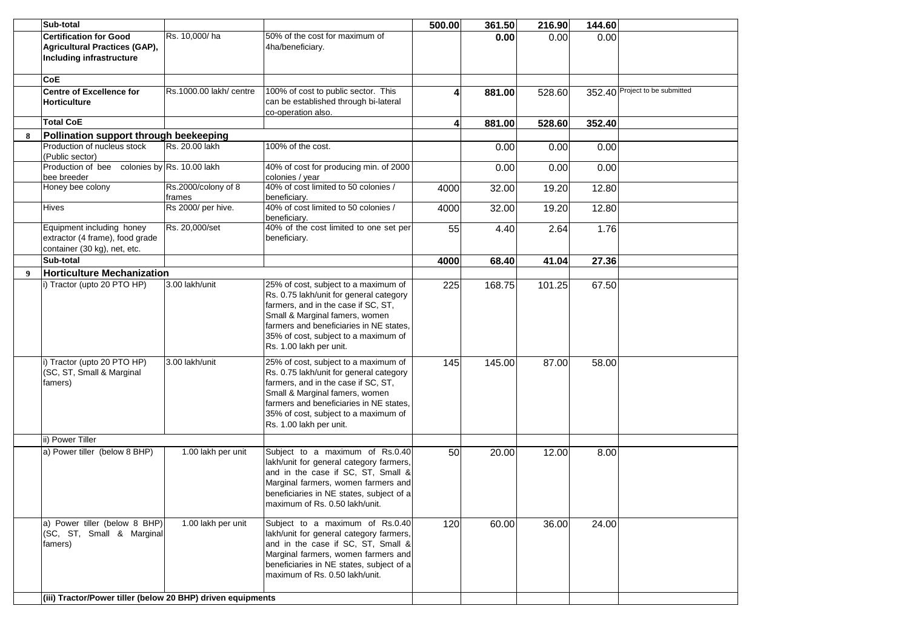|                  | Sub-total                                                   |                            |                                          |        |        |        |        |                                |
|------------------|-------------------------------------------------------------|----------------------------|------------------------------------------|--------|--------|--------|--------|--------------------------------|
|                  |                                                             |                            |                                          | 500.00 | 361.50 | 216.90 | 144.60 |                                |
|                  | <b>Certification for Good</b>                               | Rs. 10,000/ha              | 50% of the cost for maximum of           |        | 0.00   | 0.00   | 0.00   |                                |
|                  | Agricultural Practices (GAP),                               |                            | 4ha/beneficiary.                         |        |        |        |        |                                |
|                  | <b>Including infrastructure</b>                             |                            |                                          |        |        |        |        |                                |
|                  |                                                             |                            |                                          |        |        |        |        |                                |
|                  | <b>CoE</b>                                                  |                            |                                          |        |        |        |        |                                |
|                  | <b>Centre of Excellence for</b>                             | Rs.1000.00 lakh/ centre    | 100% of cost to public sector. This      |        | 881.00 | 528.60 |        | 352.40 Project to be submitted |
|                  | <b>Horticulture</b>                                         |                            | can be established through bi-lateral    |        |        |        |        |                                |
|                  |                                                             |                            | co-operation also.                       |        |        |        |        |                                |
|                  | <b>Total CoE</b>                                            |                            |                                          |        |        |        |        |                                |
|                  |                                                             |                            |                                          | 4      | 881.00 | 528.60 | 352.40 |                                |
| 8                | Pollination support through beekeeping                      |                            |                                          |        |        |        |        |                                |
|                  | Production of nucleus stock                                 | Rs. 20.00 lakh             | 100% of the cost.                        |        | 0.00   | 0.00   | 0.00   |                                |
|                  | (Public sector)                                             |                            |                                          |        |        |        |        |                                |
|                  | Production of bee                                           | colonies by Rs. 10.00 lakh | 40% of cost for producing min. of 2000   |        | 0.00   | 0.00   | 0.00   |                                |
|                  | bee breeder                                                 |                            | colonies / year                          |        |        |        |        |                                |
|                  | Honey bee colony                                            | Rs.2000/colony of 8        | 40% of cost limited to 50 colonies /     | 4000   | 32.00  | 19.20  | 12.80  |                                |
|                  |                                                             | frames                     | beneficiary.                             |        |        |        |        |                                |
|                  | <b>Hives</b>                                                | Rs 2000/ per hive.         | 40% of cost limited to 50 colonies /     | 4000   | 32.00  | 19.20  | 12.80  |                                |
|                  |                                                             |                            | beneficiary.                             |        |        |        |        |                                |
|                  | Equipment including honey                                   | Rs. 20,000/set             | 40% of the cost limited to one set per   | 55     | 4.40   | 2.64   | 1.76   |                                |
|                  | extractor (4 frame), food grade                             |                            | beneficiary.                             |        |        |        |        |                                |
|                  | container (30 kg), net, etc.                                |                            |                                          |        |        |        |        |                                |
|                  |                                                             |                            |                                          |        |        |        |        |                                |
|                  | Sub-total                                                   |                            |                                          | 4000   | 68.40  | 41.04  | 27.36  |                                |
| $\boldsymbol{9}$ | <b>Horticulture Mechanization</b>                           |                            |                                          |        |        |        |        |                                |
|                  | i) Tractor (upto 20 PTO HP)                                 | 3.00 lakh/unit             | 25% of cost, subject to a maximum of     | 225    | 168.75 | 101.25 | 67.50  |                                |
|                  |                                                             |                            | Rs. 0.75 lakh/unit for general category  |        |        |        |        |                                |
|                  |                                                             |                            | farmers, and in the case if SC, ST,      |        |        |        |        |                                |
|                  |                                                             |                            | Small & Marginal famers, women           |        |        |        |        |                                |
|                  |                                                             |                            | farmers and beneficiaries in NE states,  |        |        |        |        |                                |
|                  |                                                             |                            | 35% of cost, subject to a maximum of     |        |        |        |        |                                |
|                  |                                                             |                            | Rs. 1.00 lakh per unit.                  |        |        |        |        |                                |
|                  |                                                             |                            |                                          |        |        |        |        |                                |
|                  | i) Tractor (upto 20 PTO HP)                                 | 3.00 lakh/unit             | 25% of cost, subject to a maximum of     | 145    | 145.00 | 87.00  | 58.00  |                                |
|                  | (SC, ST, Small & Marginal                                   |                            | Rs. 0.75 lakh/unit for general category  |        |        |        |        |                                |
|                  | famers)                                                     |                            | farmers, and in the case if SC, ST,      |        |        |        |        |                                |
|                  |                                                             |                            | Small & Marginal famers, women           |        |        |        |        |                                |
|                  |                                                             |                            | farmers and beneficiaries in NE states,  |        |        |        |        |                                |
|                  |                                                             |                            | 35% of cost, subject to a maximum of     |        |        |        |        |                                |
|                  |                                                             |                            |                                          |        |        |        |        |                                |
|                  |                                                             |                            | Rs. 1.00 lakh per unit.                  |        |        |        |        |                                |
|                  | ii) Power Tiller                                            |                            |                                          |        |        |        |        |                                |
|                  | a) Power tiller (below 8 BHP)                               | 1.00 lakh per unit         | Subject to a maximum of Rs.0.40          | 50     | 20.00  | 12.00  | 8.00   |                                |
|                  |                                                             |                            | lakh/unit for general category farmers,  |        |        |        |        |                                |
|                  |                                                             |                            | and in the case if SC, ST, Small &       |        |        |        |        |                                |
|                  |                                                             |                            |                                          |        |        |        |        |                                |
|                  |                                                             |                            | Marginal farmers, women farmers and      |        |        |        |        |                                |
|                  |                                                             |                            | beneficiaries in NE states, subject of a |        |        |        |        |                                |
|                  |                                                             |                            | maximum of Rs. 0.50 lakh/unit.           |        |        |        |        |                                |
|                  |                                                             |                            |                                          |        |        |        |        |                                |
|                  | a) Power tiller (below 8 BHP)                               | 1.00 lakh per unit         | Subject to a maximum of Rs.0.40          | 120    | 60.00  | 36.00  | 24.00  |                                |
|                  | (SC, ST, Small & Marginal                                   |                            | lakh/unit for general category farmers,  |        |        |        |        |                                |
|                  | famers)                                                     |                            | and in the case if SC, ST, Small &       |        |        |        |        |                                |
|                  |                                                             |                            | Marginal farmers, women farmers and      |        |        |        |        |                                |
|                  |                                                             |                            | beneficiaries in NE states, subject of a |        |        |        |        |                                |
|                  |                                                             |                            | maximum of Rs. 0.50 lakh/unit.           |        |        |        |        |                                |
|                  |                                                             |                            |                                          |        |        |        |        |                                |
|                  | (iii) Tractor/Power tiller (below 20 BHP) driven equipments |                            |                                          |        |        |        |        |                                |
|                  |                                                             |                            |                                          |        |        |        |        |                                |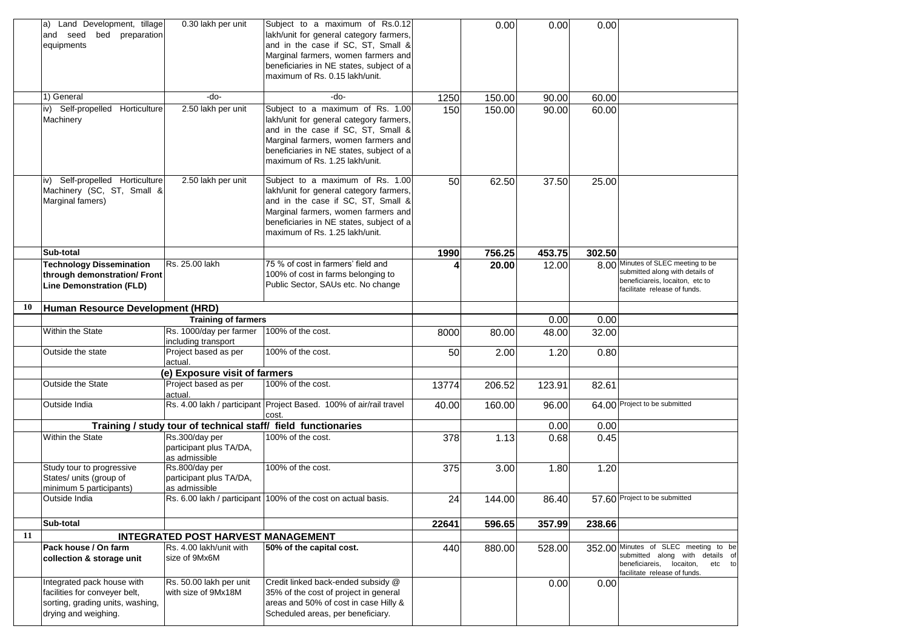|    | Land Development, tillage<br>a)<br>and seed<br>bed preparation<br>equipments                                            | 0.30 lakh per unit                                         | Subject to a maximum of Rs.0.12<br>lakh/unit for general category farmers,<br>and in the case if SC, ST, Small &<br>Marginal farmers, women farmers and<br>beneficiaries in NE states, subject of a<br>maximum of Rs. 0.15 lakh/unit.  |       | 0.00   | 0.00   | 0.00   |                                                                                                                                               |
|----|-------------------------------------------------------------------------------------------------------------------------|------------------------------------------------------------|----------------------------------------------------------------------------------------------------------------------------------------------------------------------------------------------------------------------------------------|-------|--------|--------|--------|-----------------------------------------------------------------------------------------------------------------------------------------------|
|    | 1) General                                                                                                              | -do-                                                       | -do-                                                                                                                                                                                                                                   | 1250  | 150.00 | 90.00  | 60.00  |                                                                                                                                               |
|    | iv) Self-propelled Horticulture<br>Machinery                                                                            | 2.50 lakh per unit                                         | Subject to a maximum of Rs. 1.00<br>lakh/unit for general category farmers,<br>and in the case if SC, ST, Small &<br>Marginal farmers, women farmers and<br>beneficiaries in NE states, subject of a<br>maximum of Rs. 1.25 lakh/unit. | 150   | 150.00 | 90.00  | 60.00  |                                                                                                                                               |
|    | iv) Self-propelled Horticulture<br>Machinery (SC, ST, Small &<br>Marginal famers)                                       | 2.50 lakh per unit                                         | Subject to a maximum of Rs. 1.00<br>lakh/unit for general category farmers,<br>and in the case if SC, ST, Small &<br>Marginal farmers, women farmers and<br>beneficiaries in NE states, subject of a<br>maximum of Rs. 1.25 lakh/unit. | 50    | 62.50  | 37.50  | 25.00  |                                                                                                                                               |
|    | Sub-total                                                                                                               |                                                            |                                                                                                                                                                                                                                        | 1990  | 756.25 | 453.75 | 302.50 |                                                                                                                                               |
|    | <b>Technology Dissemination</b><br>through demonstration/ Front<br><b>Line Demonstration (FLD)</b>                      | Rs. 25.00 lakh                                             | 75 % of cost in farmers' field and<br>100% of cost in farms belonging to<br>Public Sector, SAUs etc. No change                                                                                                                         |       | 20.00  | 12.00  |        | 8.00 Minutes of SLEC meeting to be<br>submitted along with details of<br>beneficiareis, locaiton, etc to<br>facilitate release of funds.      |
| 10 | Human Resource Development (HRD)                                                                                        |                                                            |                                                                                                                                                                                                                                        |       |        |        |        |                                                                                                                                               |
|    |                                                                                                                         | <b>Training of farmers</b>                                 |                                                                                                                                                                                                                                        |       |        | 0.00   | 0.00   |                                                                                                                                               |
|    | <b>Within the State</b>                                                                                                 | Rs. 1000/day per farmer<br>including transport             | 100% of the cost.                                                                                                                                                                                                                      | 8000  | 80.00  | 48.00  | 32.00  |                                                                                                                                               |
|    | Outside the state                                                                                                       | Project based as per<br>actual.                            | 100% of the cost.                                                                                                                                                                                                                      | 50    | 2.00   | 1.20   | 0.80   |                                                                                                                                               |
|    |                                                                                                                         | (e) Exposure visit of farmers                              |                                                                                                                                                                                                                                        |       |        |        |        |                                                                                                                                               |
|    | Outside the State                                                                                                       | Project based as per<br>actual.                            | 100% of the cost.                                                                                                                                                                                                                      | 13774 | 206.52 | 123.91 | 82.61  |                                                                                                                                               |
|    | Outside India                                                                                                           |                                                            | Rs. 4.00 lakh / participant Project Based. 100% of air/rail travel<br>cost.                                                                                                                                                            | 40.00 | 160.00 | 96.00  |        | 64.00 Project to be submitted                                                                                                                 |
|    |                                                                                                                         |                                                            | Training / study tour of technical staff/ field functionaries                                                                                                                                                                          |       |        | 0.00   | 0.00   |                                                                                                                                               |
|    | <b>Within the State</b>                                                                                                 | Rs.300/day per<br>participant plus TA/DA,<br>as admissible | 100% of the cost.                                                                                                                                                                                                                      | 378   | 1.13   | 0.68   | 0.45   |                                                                                                                                               |
|    | Study tour to progressive<br>States/ units (group of<br>minimum 5 participants)                                         | Rs.800/day per<br>participant plus TA/DA,<br>as admissible | 100% of the cost.                                                                                                                                                                                                                      | 375   | 3.00   | 1.80   | 1.20   |                                                                                                                                               |
|    | Outside India                                                                                                           |                                                            | Rs. 6.00 lakh / participant 100% of the cost on actual basis.                                                                                                                                                                          | 24    | 144.00 | 86.40  |        | 57.60 Project to be submitted                                                                                                                 |
|    | Sub-total                                                                                                               |                                                            |                                                                                                                                                                                                                                        | 22641 | 596.65 | 357.99 | 238.66 |                                                                                                                                               |
| 11 |                                                                                                                         | INTEGRATED POST HARVEST MANAGEMENT                         |                                                                                                                                                                                                                                        |       |        |        |        |                                                                                                                                               |
|    | Pack house / On farm<br>collection & storage unit                                                                       | Rs. 4.00 lakh/unit with<br>size of 9Mx6M                   | 50% of the capital cost.                                                                                                                                                                                                               | 440   | 880.00 | 528.00 |        | 352.00 Minutes of SLEC meeting to be<br>submitted along with details of<br>beneficiareis, locaiton,<br>etc to<br>facilitate release of funds. |
|    | Integrated pack house with<br>facilities for conveyer belt,<br>sorting, grading units, washing,<br>drying and weighing. | Rs. 50.00 lakh per unit<br>with size of 9Mx18M             | Credit linked back-ended subsidy @<br>35% of the cost of project in general<br>areas and 50% of cost in case Hilly &<br>Scheduled areas, per beneficiary.                                                                              |       |        | 0.00   | 0.00   |                                                                                                                                               |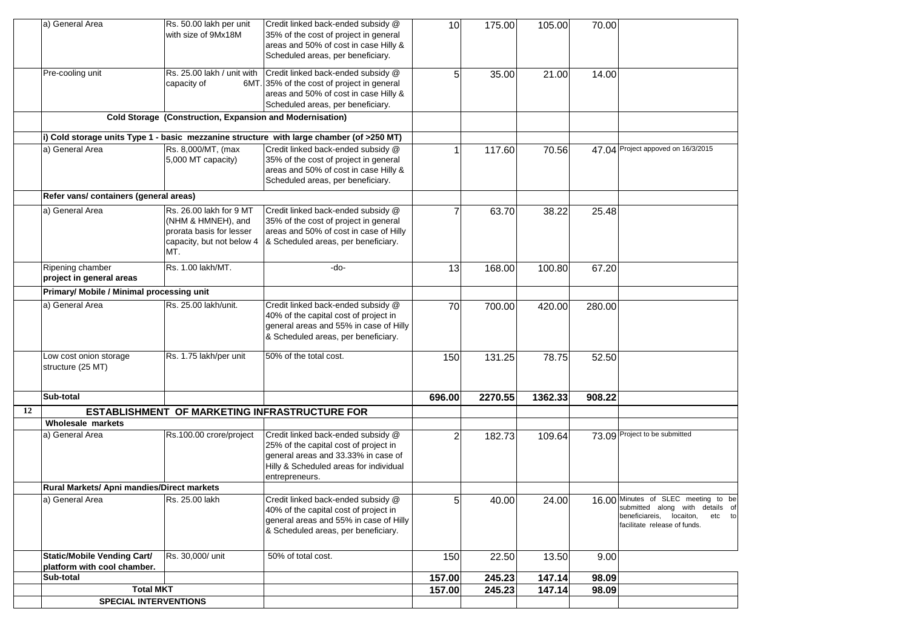|    | a) General Area                            | Rs. 50.00 lakh per unit                                  | Credit linked back-ended subsidy @                                                       | 10             | 175.00  | 105.00  | 70.00  |                                     |
|----|--------------------------------------------|----------------------------------------------------------|------------------------------------------------------------------------------------------|----------------|---------|---------|--------|-------------------------------------|
|    |                                            | with size of 9Mx18M                                      | 35% of the cost of project in general                                                    |                |         |         |        |                                     |
|    |                                            |                                                          | areas and 50% of cost in case Hilly &                                                    |                |         |         |        |                                     |
|    |                                            |                                                          | Scheduled areas, per beneficiary.                                                        |                |         |         |        |                                     |
|    | Pre-cooling unit                           | Rs. 25.00 lakh / unit with                               | Credit linked back-ended subsidy @                                                       | 5 <sub>l</sub> | 35.00   | 21.00   | 14.00  |                                     |
|    |                                            | capacity of                                              | 6MT. 35% of the cost of project in general                                               |                |         |         |        |                                     |
|    |                                            |                                                          | areas and 50% of cost in case Hilly &                                                    |                |         |         |        |                                     |
|    |                                            |                                                          | Scheduled areas, per beneficiary.                                                        |                |         |         |        |                                     |
|    |                                            | Cold Storage (Construction, Expansion and Modernisation) |                                                                                          |                |         |         |        |                                     |
|    |                                            |                                                          |                                                                                          |                |         |         |        |                                     |
|    |                                            |                                                          | i) Cold storage units Type 1 - basic mezzanine structure with large chamber (of >250 MT) |                |         |         |        |                                     |
|    | a) General Area                            | Rs. 8,000/MT, (max                                       | Credit linked back-ended subsidy @                                                       |                | 117.60  | 70.56   |        | 47.04 Project appoved on 16/3/2015  |
|    |                                            | 5,000 MT capacity)                                       | 35% of the cost of project in general                                                    |                |         |         |        |                                     |
|    |                                            |                                                          | areas and 50% of cost in case Hilly &                                                    |                |         |         |        |                                     |
|    |                                            |                                                          | Scheduled areas, per beneficiary.                                                        |                |         |         |        |                                     |
|    | Refer vans/ containers (general areas)     |                                                          |                                                                                          |                |         |         |        |                                     |
|    | a) General Area                            | Rs. 26.00 lakh for 9 MT                                  | Credit linked back-ended subsidy @                                                       |                | 63.70   | 38.22   | 25.48  |                                     |
|    |                                            | (NHM & HMNEH), and                                       | 35% of the cost of project in general                                                    |                |         |         |        |                                     |
|    |                                            | prorata basis for lesser                                 | areas and 50% of cost in case of Hilly                                                   |                |         |         |        |                                     |
|    |                                            | capacity, but not below 4                                | & Scheduled areas, per beneficiary.                                                      |                |         |         |        |                                     |
|    |                                            | MT.                                                      |                                                                                          |                |         |         |        |                                     |
|    | Ripening chamber                           | Rs. 1.00 lakh/MT.                                        | -do-                                                                                     | 13             | 168.00  | 100.80  | 67.20  |                                     |
|    | project in general areas                   |                                                          |                                                                                          |                |         |         |        |                                     |
|    | Primary/ Mobile / Minimal processing unit  |                                                          |                                                                                          |                |         |         |        |                                     |
|    | a) General Area                            | Rs. 25.00 lakh/unit.                                     | Credit linked back-ended subsidy @                                                       | 70             | 700.00  | 420.00  | 280.00 |                                     |
|    |                                            |                                                          | 40% of the capital cost of project in                                                    |                |         |         |        |                                     |
|    |                                            |                                                          | general areas and 55% in case of Hilly                                                   |                |         |         |        |                                     |
|    |                                            |                                                          | & Scheduled areas, per beneficiary.                                                      |                |         |         |        |                                     |
|    | Low cost onion storage                     | Rs. 1.75 lakh/per unit                                   | 50% of the total cost.                                                                   | 150            | 131.25  | 78.75   | 52.50  |                                     |
|    | structure (25 MT)                          |                                                          |                                                                                          |                |         |         |        |                                     |
|    |                                            |                                                          |                                                                                          |                |         |         |        |                                     |
|    |                                            |                                                          |                                                                                          |                |         |         |        |                                     |
|    | Sub-total                                  |                                                          |                                                                                          | 696.00         | 2270.55 | 1362.33 | 908.22 |                                     |
| 12 |                                            |                                                          | ESTABLISHMENT OF MARKETING INFRASTRUCTURE FOR                                            |                |         |         |        |                                     |
|    | <b>Wholesale markets</b>                   |                                                          |                                                                                          |                |         |         |        |                                     |
|    | a) General Area                            | Rs.100.00 crore/project                                  | Credit linked back-ended subsidy @                                                       | $\overline{2}$ | 182.73  | 109.64  |        | 73.09 Project to be submitted       |
|    |                                            |                                                          | 25% of the capital cost of project in                                                    |                |         |         |        |                                     |
|    |                                            |                                                          | general areas and 33.33% in case of                                                      |                |         |         |        |                                     |
|    |                                            |                                                          | Hilly & Scheduled areas for individual                                                   |                |         |         |        |                                     |
|    | Rural Markets/ Apni mandies/Direct markets |                                                          | entrepreneurs.                                                                           |                |         |         |        |                                     |
|    | la) General Area                           |                                                          | Credit linked back-ended subsidy @                                                       | 5 <sup>1</sup> |         |         |        | 16.00 Minutes of SLEC meeting to be |
|    |                                            | Rs. 25.00 lakh                                           | 40% of the capital cost of project in                                                    |                | 40.00   | 24.00   |        | submitted along with details of     |
|    |                                            |                                                          | general areas and 55% in case of Hilly                                                   |                |         |         |        | beneficiareis, locaiton,<br>etc to  |
|    |                                            |                                                          | & Scheduled areas, per beneficiary.                                                      |                |         |         |        | facilitate release of funds.        |
|    |                                            |                                                          |                                                                                          |                |         |         |        |                                     |
|    | <b>Static/Mobile Vending Cart/</b>         | Rs. 30,000/ unit                                         | 50% of total cost.                                                                       | 150            | 22.50   | 13.50   | 9.00   |                                     |
|    | platform with cool chamber.                |                                                          |                                                                                          |                |         |         |        |                                     |
|    | Sub-total                                  |                                                          |                                                                                          | 157.00         | 245.23  | 147.14  | 98.09  |                                     |
|    | <b>Total MKT</b>                           |                                                          |                                                                                          | 157.00         | 245.23  | 147.14  | 98.09  |                                     |
|    | <b>SPECIAL INTERVENTIONS</b>               |                                                          |                                                                                          |                |         |         |        |                                     |
|    |                                            |                                                          |                                                                                          |                |         |         |        |                                     |